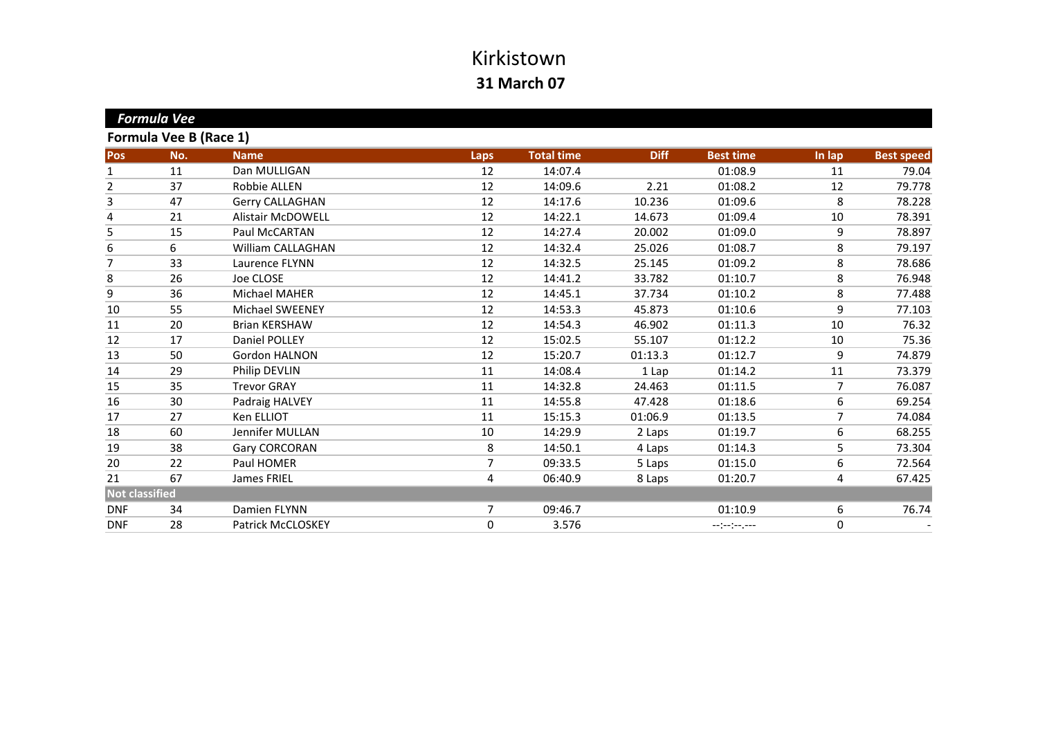|                       | <b>Formula Vee</b>     |                          |                |                   |             |                  |        |                   |
|-----------------------|------------------------|--------------------------|----------------|-------------------|-------------|------------------|--------|-------------------|
|                       | Formula Vee B (Race 1) |                          |                |                   |             |                  |        |                   |
| Pos                   | No.                    | <b>Name</b>              | <b>Laps</b>    | <b>Total time</b> | <b>Diff</b> | <b>Best time</b> | In lap | <b>Best speed</b> |
| 1                     | 11                     | Dan MULLIGAN             | 12             | 14:07.4           |             | 01:08.9          | 11     | 79.04             |
| $\overline{2}$        | 37                     | Robbie ALLEN             | 12             | 14:09.6           | 2.21        | 01:08.2          | 12     | 79.778            |
| 3                     | 47                     | Gerry CALLAGHAN          | 12             | 14:17.6           | 10.236      | 01:09.6          | 8      | 78.228            |
| 4                     | 21                     | <b>Alistair McDOWELL</b> | 12             | 14:22.1           | 14.673      | 01:09.4          | 10     | 78.391            |
| 5                     | 15                     | Paul McCARTAN            | 12             | 14:27.4           | 20.002      | 01:09.0          | 9      | 78.897            |
| 6                     | 6                      | <b>William CALLAGHAN</b> | 12             | 14:32.4           | 25.026      | 01:08.7          | 8      | 79.197            |
| 7                     | 33                     | Laurence FLYNN           | 12             | 14:32.5           | 25.145      | 01:09.2          | 8      | 78.686            |
| 8                     | 26                     | Joe CLOSE                | 12             | 14:41.2           | 33.782      | 01:10.7          | 8      | 76.948            |
| 9                     | 36                     | Michael MAHER            | 12             | 14:45.1           | 37.734      | 01:10.2          | 8      | 77.488            |
| $10\,$                | 55                     | <b>Michael SWEENEY</b>   | 12             | 14:53.3           | 45.873      | 01:10.6          | 9      | 77.103            |
| 11                    | 20                     | <b>Brian KERSHAW</b>     | 12             | 14:54.3           | 46.902      | 01:11.3          | 10     | 76.32             |
| 12                    | 17                     | Daniel POLLEY            | 12             | 15:02.5           | 55.107      | 01:12.2          | 10     | 75.36             |
| 13                    | 50                     | Gordon HALNON            | 12             | 15:20.7           | 01:13.3     | 01:12.7          | 9      | 74.879            |
| 14                    | 29                     | Philip DEVLIN            | 11             | 14:08.4           | 1 Lap       | 01:14.2          | 11     | 73.379            |
| 15                    | 35                     | <b>Trevor GRAY</b>       | 11             | 14:32.8           | 24.463      | 01:11.5          | 7      | 76.087            |
| 16                    | 30                     | Padraig HALVEY           | 11             | 14:55.8           | 47.428      | 01:18.6          | 6      | 69.254            |
| 17                    | 27                     | Ken ELLIOT               | 11             | 15:15.3           | 01:06.9     | 01:13.5          | 7      | 74.084            |
| 18                    | 60                     | Jennifer MULLAN          | 10             | 14:29.9           | 2 Laps      | 01:19.7          | 6      | 68.255            |
| 19                    | 38                     | Gary CORCORAN            | 8              | 14:50.1           | 4 Laps      | 01:14.3          | 5      | 73.304            |
| 20                    | 22                     | Paul HOMER               | 7              | 09:33.5           | 5 Laps      | 01:15.0          | 6      | 72.564            |
| 21                    | 67                     | James FRIEL              | 4              | 06:40.9           | 8 Laps      | 01:20.7          | 4      | 67.425            |
| <b>Not classified</b> |                        |                          |                |                   |             |                  |        |                   |
| <b>DNF</b>            | 34                     | Damien FLYNN             | $\overline{7}$ | 09:46.7           |             | 01:10.9          | 6      | 76.74             |
| <b>DNF</b>            | 28                     | Patrick McCLOSKEY        | 0              | 3.576             |             | --:-:----        | 0      |                   |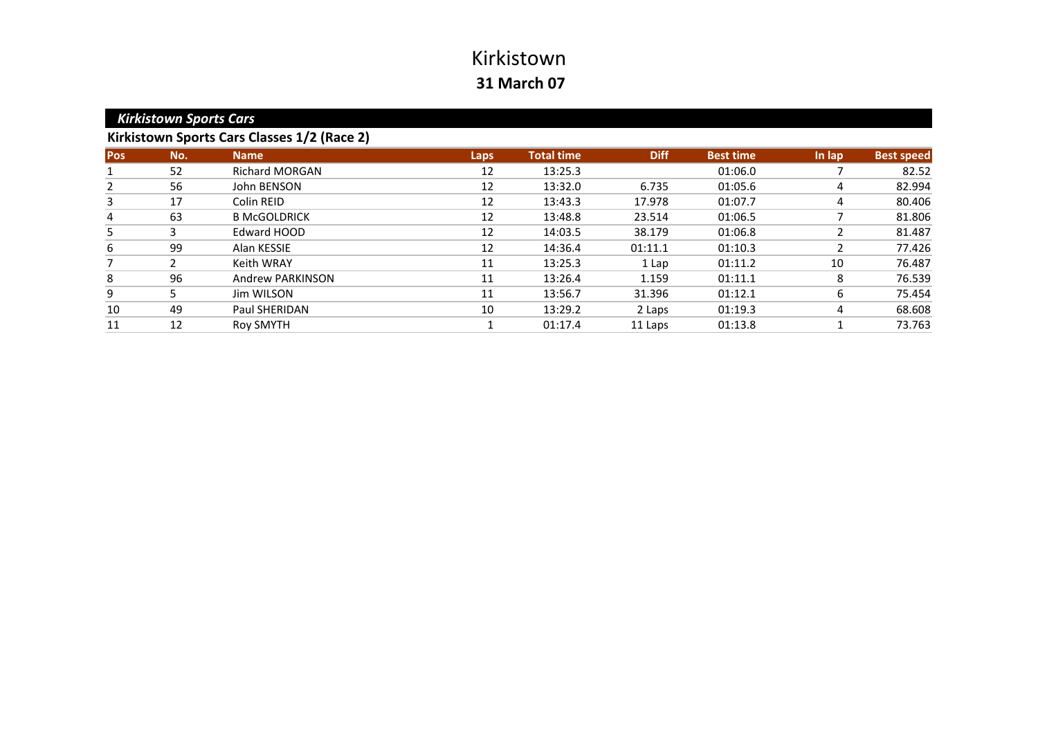|            | <b>Kirkistown Sports Cars</b> |                                             |             |                   |             |                  |        |                   |
|------------|-------------------------------|---------------------------------------------|-------------|-------------------|-------------|------------------|--------|-------------------|
|            |                               | Kirkistown Sports Cars Classes 1/2 (Race 2) |             |                   |             |                  |        |                   |
| <b>Pos</b> | No.                           | <b>Name</b>                                 | <b>Laps</b> | <b>Total time</b> | <b>Diff</b> | <b>Best time</b> | In lap | <b>Best speed</b> |
|            | 52                            | <b>Richard MORGAN</b>                       | 12          | 13:25.3           |             | 01:06.0          |        | 82.52             |
| 2          | 56                            | John BENSON                                 | 12          | 13:32.0           | 6.735       | 01:05.6          | 4      | 82.994            |
| 3          | 17                            | Colin REID                                  | 12          | 13:43.3           | 17.978      | 01:07.7          | 4      | 80.406            |
| 4          | 63                            | <b>B McGOLDRICK</b>                         | 12          | 13:48.8           | 23.514      | 01:06.5          |        | 81.806            |
| 5          | 3                             | Edward HOOD                                 | 12          | 14:03.5           | 38.179      | 01:06.8          | 2      | 81.487            |
| 6          | 99                            | Alan KESSIE                                 | 12          | 14:36.4           | 01:11.1     | 01:10.3          | 2      | 77.426            |
|            |                               | Keith WRAY                                  | 11          | 13:25.3           | 1 Lap       | 01:11.2          | 10     | 76.487            |
| 8          | 96                            | Andrew PARKINSON                            | 11          | 13:26.4           | 1.159       | 01:11.1          | 8      | 76.539            |
| 9          | 5.                            | Jim WILSON                                  | 11          | 13:56.7           | 31.396      | 01:12.1          | 6      | 75.454            |
| 10         | 49                            | Paul SHERIDAN                               | 10          | 13:29.2           | 2 Laps      | 01:19.3          | 4      | 68.608            |
| 11         | 12                            | Roy SMYTH                                   |             | 01:17.4           | 11 Laps     | 01:13.8          |        | 73.763            |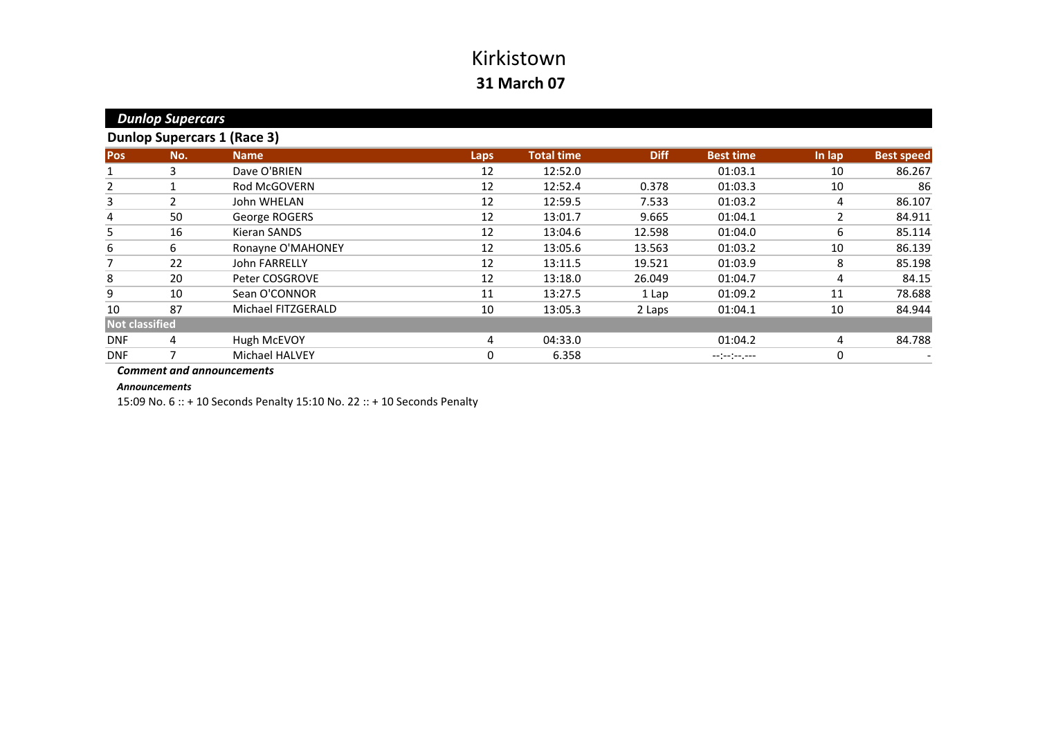| <b>Dunlop Supercars</b> |                |                                    |      |                   |             |                  |                |                   |
|-------------------------|----------------|------------------------------------|------|-------------------|-------------|------------------|----------------|-------------------|
|                         |                | <b>Dunlop Supercars 1 (Race 3)</b> |      |                   |             |                  |                |                   |
| Pos                     | No.            | <b>Name</b>                        | Laps | <b>Total time</b> | <b>Diff</b> | <b>Best time</b> | In lap         | <b>Best speed</b> |
| 1                       | 3              | Dave O'BRIEN                       | 12   | 12:52.0           |             | 01:03.1          | 10             | 86.267            |
| $\overline{2}$          |                | <b>Rod McGOVERN</b>                | 12   | 12:52.4           | 0.378       | 01:03.3          | 10             | 86                |
| 3                       | $\overline{2}$ | John WHELAN                        | 12   | 12:59.5           | 7.533       | 01:03.2          | 4              | 86.107            |
| 4                       | 50             | George ROGERS                      | 12   | 13:01.7           | 9.665       | 01:04.1          | $\overline{2}$ | 84.911            |
| 5                       | 16             | <b>Kieran SANDS</b>                | 12   | 13:04.6           | 12.598      | 01:04.0          | 6              | 85.114            |
| 6                       | 6              | Ronayne O'MAHONEY                  | 12   | 13:05.6           | 13.563      | 01:03.2          | 10             | 86.139            |
| 7                       | 22             | John FARRELLY                      | 12   | 13:11.5           | 19.521      | 01:03.9          | 8              | 85.198            |
| 8                       | 20             | Peter COSGROVE                     | 12   | 13:18.0           | 26.049      | 01:04.7          | 4              | 84.15             |
| 9                       | 10             | Sean O'CONNOR                      | 11   | 13:27.5           | 1 Lap       | 01:09.2          | 11             | 78.688            |
| 10                      | 87             | Michael FITZGERALD                 | 10   | 13:05.3           | 2 Laps      | 01:04.1          | 10             | 84.944            |
| <b>Not classified</b>   |                |                                    |      |                   |             |                  |                |                   |
| <b>DNF</b>              | 4              | Hugh McEVOY                        | 4    | 04:33.0           |             | 01:04.2          | 4              | 84.788            |
| <b>DNF</b>              |                | <b>Michael HALVEY</b>              | 0    | 6.358             |             | --:--:--.--      | 0              |                   |

#### *Comment and announcements*

#### *Announcements*

15:09 No. 6 :: <sup>+</sup> 10 Seconds Penalty 15:10 No. 22 :: <sup>+</sup> 10 Seconds Penalty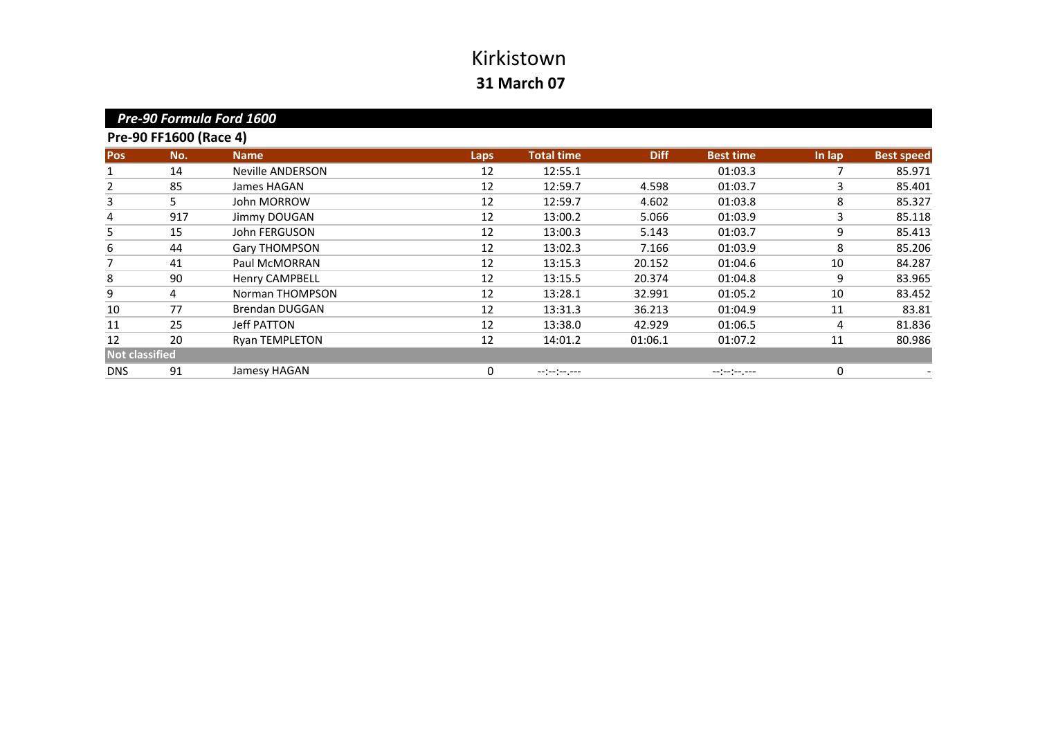| Pre-90 Formula Ford 1600 |                        |                         |             |                   |             |                  |        |                   |  |
|--------------------------|------------------------|-------------------------|-------------|-------------------|-------------|------------------|--------|-------------------|--|
|                          | Pre-90 FF1600 (Race 4) |                         |             |                   |             |                  |        |                   |  |
| <b>Pos</b>               | No.                    | <b>Name</b>             | <b>Laps</b> | <b>Total time</b> | <b>Diff</b> | <b>Best time</b> | In lap | <b>Best speed</b> |  |
|                          | 14                     | <b>Neville ANDERSON</b> | 12          | 12:55.1           |             | 01:03.3          |        | 85.971            |  |
| 2                        | 85                     | James HAGAN             | 12          | 12:59.7           | 4.598       | 01:03.7          | 3      | 85.401            |  |
| 3                        | 5.                     | John MORROW             | 12          | 12:59.7           | 4.602       | 01:03.8          | 8      | 85.327            |  |
| 4                        | 917                    | Jimmy DOUGAN            | 12          | 13:00.2           | 5.066       | 01:03.9          | 3      | 85.118            |  |
| 5                        | 15                     | John FERGUSON           | 12          | 13:00.3           | 5.143       | 01:03.7          | 9      | 85.413            |  |
| 6                        | 44                     | Gary THOMPSON           | 12          | 13:02.3           | 7.166       | 01:03.9          | 8      | 85.206            |  |
| 7                        | 41                     | Paul McMORRAN           | 12          | 13:15.3           | 20.152      | 01:04.6          | 10     | 84.287            |  |
| 8                        | 90                     | <b>Henry CAMPBELL</b>   | 12          | 13:15.5           | 20.374      | 01:04.8          | 9      | 83.965            |  |
| 9                        | 4                      | Norman THOMPSON         | 12          | 13:28.1           | 32.991      | 01:05.2          | 10     | 83.452            |  |
| 10                       | 77                     | <b>Brendan DUGGAN</b>   | 12          | 13:31.3           | 36.213      | 01:04.9          | 11     | 83.81             |  |
| 11                       | 25                     | Jeff PATTON             | 12          | 13:38.0           | 42.929      | 01:06.5          | 4      | 81.836            |  |
| 12                       | 20                     | <b>Ryan TEMPLETON</b>   | 12          | 14:01.2           | 01:06.1     | 01:07.2          | 11     | 80.986            |  |
| <b>Not classified</b>    |                        |                         |             |                   |             |                  |        |                   |  |
| <b>DNS</b>               | 91                     | Jamesy HAGAN            | 0           | --:-:----         |             | --:-:----        | 0      |                   |  |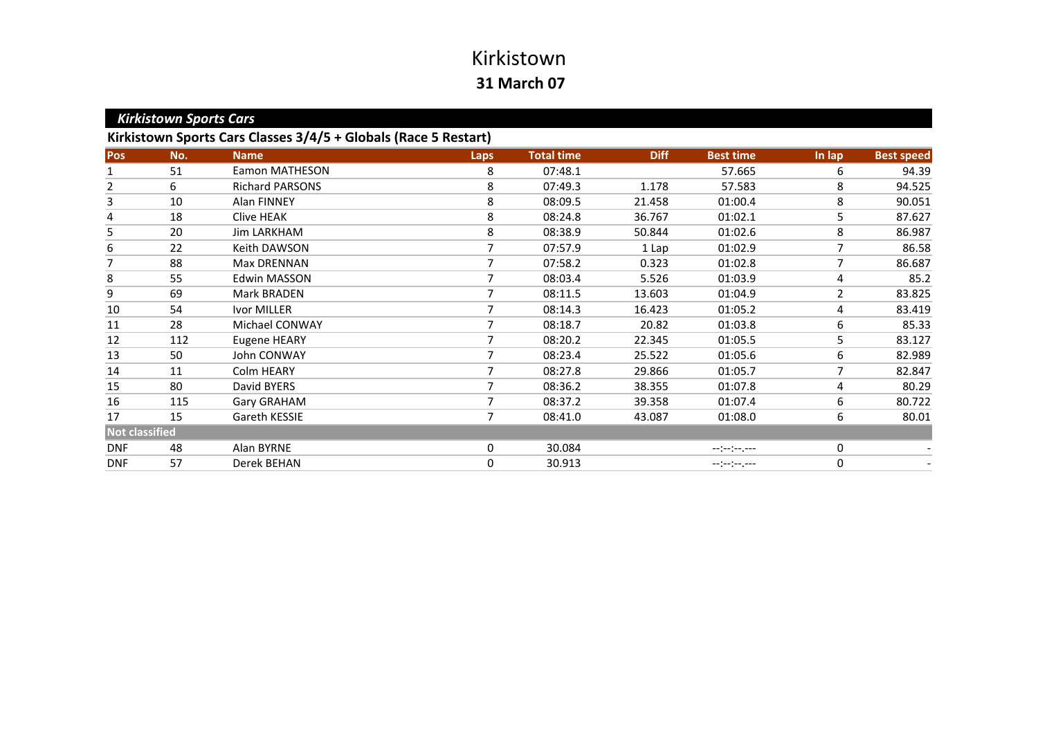|                       | <b>Kirkistown Sports Cars</b> |                                                                 |             |                   |             |                               |        |                   |  |  |
|-----------------------|-------------------------------|-----------------------------------------------------------------|-------------|-------------------|-------------|-------------------------------|--------|-------------------|--|--|
|                       |                               | Kirkistown Sports Cars Classes 3/4/5 + Globals (Race 5 Restart) |             |                   |             |                               |        |                   |  |  |
| Pos                   | No.                           | <b>Name</b>                                                     | <b>Laps</b> | <b>Total time</b> | <b>Diff</b> | <b>Best time</b>              | In lap | <b>Best speed</b> |  |  |
| 1                     | 51                            | <b>Eamon MATHESON</b>                                           | 8           | 07:48.1           |             | 57.665                        | 6      | 94.39             |  |  |
| $\overline{2}$        | 6                             | <b>Richard PARSONS</b>                                          | 8           | 07:49.3           | 1.178       | 57.583                        | 8      | 94.525            |  |  |
| 3                     | 10                            | <b>Alan FINNEY</b>                                              | 8           | 08:09.5           | 21.458      | 01:00.4                       | 8      | 90.051            |  |  |
| 4                     | 18                            | Clive HEAK                                                      | 8           | 08:24.8           | 36.767      | 01:02.1                       | 5      | 87.627            |  |  |
| 5                     | 20                            | Jim LARKHAM                                                     | 8           | 08:38.9           | 50.844      | 01:02.6                       | 8      | 86.987            |  |  |
| 6                     | 22                            | Keith DAWSON                                                    |             | 07:57.9           | 1 Lap       | 01:02.9                       | 7      | 86.58             |  |  |
| 7                     | 88                            | Max DRENNAN                                                     |             | 07:58.2           | 0.323       | 01:02.8                       | 7      | 86.687            |  |  |
| 8                     | 55                            | Edwin MASSON                                                    |             | 08:03.4           | 5.526       | 01:03.9                       | 4      | 85.2              |  |  |
| 9                     | 69                            | <b>Mark BRADEN</b>                                              | 7           | 08:11.5           | 13.603      | 01:04.9                       | 2      | 83.825            |  |  |
| 10                    | 54                            | Ivor MILLER                                                     |             | 08:14.3           | 16.423      | 01:05.2                       | 4      | 83.419            |  |  |
| 11                    | 28                            | Michael CONWAY                                                  |             | 08:18.7           | 20.82       | 01:03.8                       | 6      | 85.33             |  |  |
| 12                    | 112                           | Eugene HEARY                                                    |             | 08:20.2           | 22.345      | 01:05.5                       | 5      | 83.127            |  |  |
| 13                    | 50                            | John CONWAY                                                     |             | 08:23.4           | 25.522      | 01:05.6                       | 6      | 82.989            |  |  |
| 14                    | 11                            | Colm HEARY                                                      | 7           | 08:27.8           | 29.866      | 01:05.7                       | 7      | 82.847            |  |  |
| 15                    | 80                            | David BYERS                                                     | 7           | 08:36.2           | 38.355      | 01:07.8                       | 4      | 80.29             |  |  |
| 16                    | 115                           | Gary GRAHAM                                                     | 7           | 08:37.2           | 39.358      | 01:07.4                       | 6      | 80.722            |  |  |
| 17                    | 15                            | Gareth KESSIE                                                   |             | 08:41.0           | 43.087      | 01:08.0                       | 6      | 80.01             |  |  |
| <b>Not classified</b> |                               |                                                                 |             |                   |             |                               |        |                   |  |  |
| <b>DNF</b>            | 48                            | Alan BYRNE                                                      | 0           | 30.084            |             | $-1(-1)^{n-1}(-1)^{n-1}$      | 0      |                   |  |  |
| <b>DNF</b>            | 57                            | Derek BEHAN                                                     | $\mathbf 0$ | 30.913            |             | $-1$ $-1$ $-1$ $-1$ $-1$ $-1$ | 0      |                   |  |  |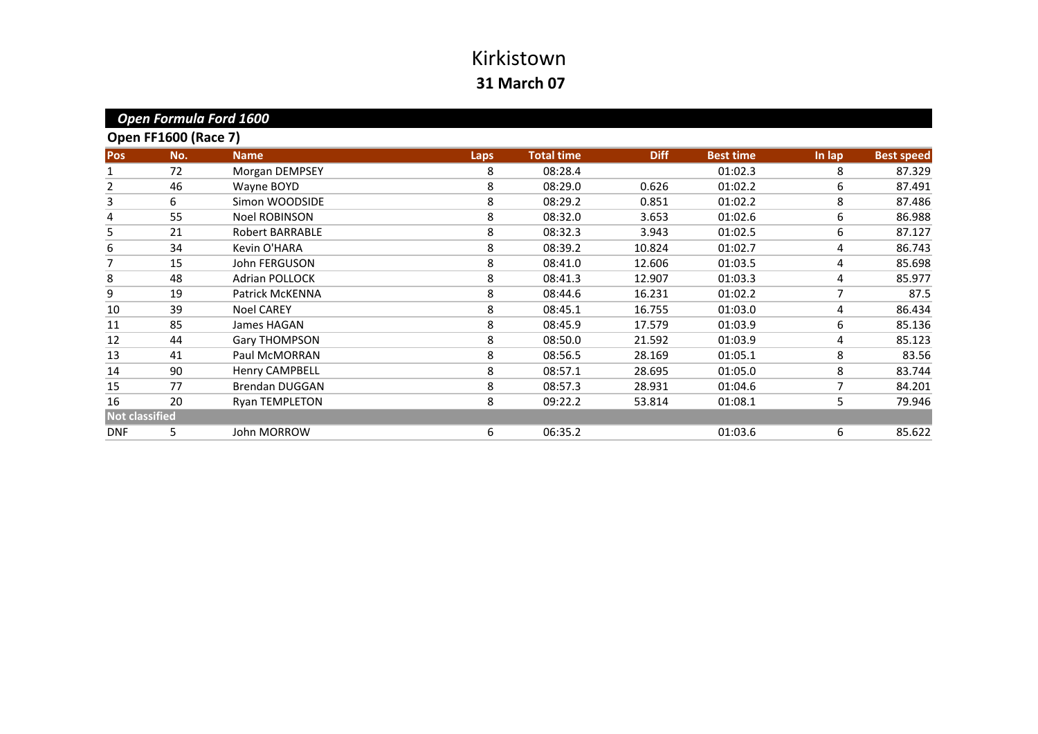|                       |                             | Open Formula Ford 1600 |      |                   |             |                  |        |                   |
|-----------------------|-----------------------------|------------------------|------|-------------------|-------------|------------------|--------|-------------------|
|                       | <b>Open FF1600 (Race 7)</b> |                        |      |                   |             |                  |        |                   |
| Pos                   | No.                         | <b>Name</b>            | Laps | <b>Total time</b> | <b>Diff</b> | <b>Best time</b> | In lap | <b>Best speed</b> |
|                       | 72                          | Morgan DEMPSEY         | 8    | 08:28.4           |             | 01:02.3          | 8      | 87.329            |
| 2                     | 46                          | Wayne BOYD             | 8    | 08:29.0           | 0.626       | 01:02.2          | 6      | 87.491            |
| 3                     | 6                           | Simon WOODSIDE         | 8    | 08:29.2           | 0.851       | 01:02.2          | 8      | 87.486            |
| 4                     | 55                          | <b>Noel ROBINSON</b>   | 8    | 08:32.0           | 3.653       | 01:02.6          | 6      | 86.988            |
| 5                     | 21                          | Robert BARRABLE        | 8    | 08:32.3           | 3.943       | 01:02.5          | 6      | 87.127            |
| 6                     | 34                          | Kevin O'HARA           | 8    | 08:39.2           | 10.824      | 01:02.7          | 4      | 86.743            |
| 7                     | 15                          | John FERGUSON          | 8    | 08:41.0           | 12.606      | 01:03.5          | 4      | 85.698            |
| 8                     | 48                          | <b>Adrian POLLOCK</b>  | 8    | 08:41.3           | 12.907      | 01:03.3          | 4      | 85.977            |
| 9                     | 19                          | Patrick McKENNA        | 8    | 08:44.6           | 16.231      | 01:02.2          | 7      | 87.5              |
| 10                    | 39                          | <b>Noel CAREY</b>      | 8    | 08:45.1           | 16.755      | 01:03.0          | 4      | 86.434            |
| 11                    | 85                          | James HAGAN            | 8    | 08:45.9           | 17.579      | 01:03.9          | 6      | 85.136            |
| 12                    | 44                          | Gary THOMPSON          | 8    | 08:50.0           | 21.592      | 01:03.9          | 4      | 85.123            |
| 13                    | 41                          | Paul McMORRAN          | 8    | 08:56.5           | 28.169      | 01:05.1          | 8      | 83.56             |
| 14                    | 90                          | <b>Henry CAMPBELL</b>  | 8    | 08:57.1           | 28.695      | 01:05.0          | 8      | 83.744            |
| 15                    | 77                          | <b>Brendan DUGGAN</b>  | 8    | 08:57.3           | 28.931      | 01:04.6          | 7      | 84.201            |
| 16                    | 20                          | Ryan TEMPLETON         | 8    | 09:22.2           | 53.814      | 01:08.1          | 5      | 79.946            |
| <b>Not classified</b> |                             |                        |      |                   |             |                  |        |                   |
| <b>DNF</b>            | 5                           | John MORROW            | 6    | 06:35.2           |             | 01:03.6          | 6      | 85.622            |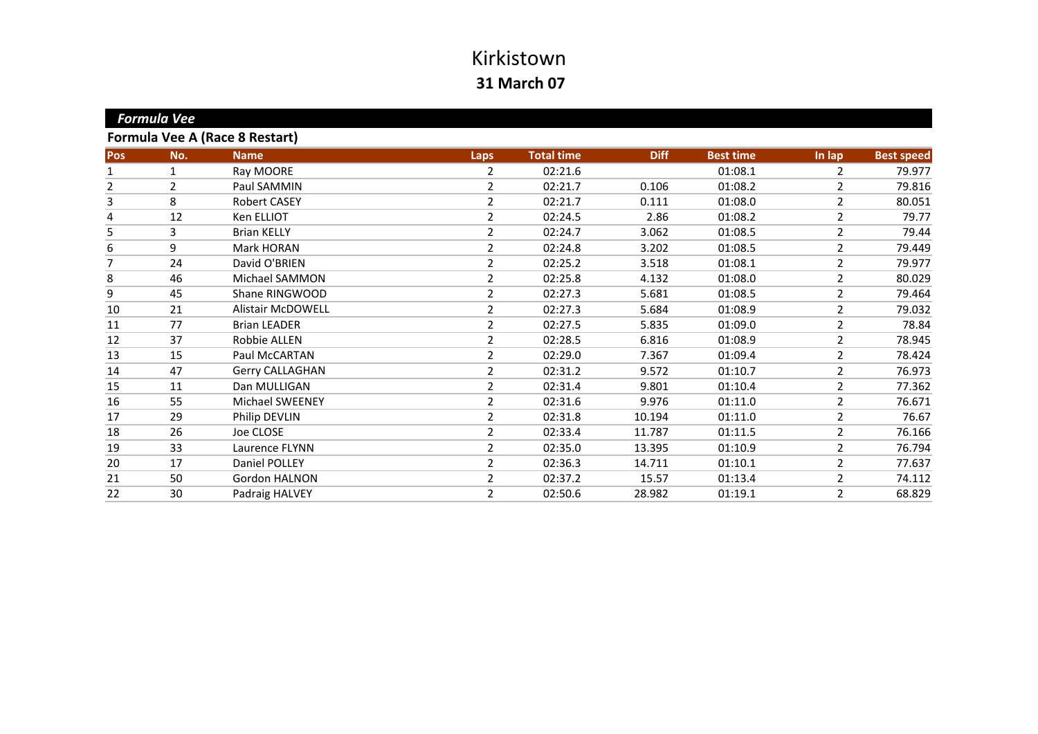|            | <b>Formula Vee</b> |                                       |                |                   |             |                  |                |                   |
|------------|--------------------|---------------------------------------|----------------|-------------------|-------------|------------------|----------------|-------------------|
|            |                    | <b>Formula Vee A (Race 8 Restart)</b> |                |                   |             |                  |                |                   |
| <b>Pos</b> | No.                | <b>Name</b>                           | <b>Laps</b>    | <b>Total time</b> | <b>Diff</b> | <b>Best time</b> | In lap         | <b>Best speed</b> |
| 1          | 1                  | Ray MOORE                             | 2              | 02:21.6           |             | 01:08.1          | 2              | 79.977            |
| 2          | 2                  | Paul SAMMIN                           | 2              | 02:21.7           | 0.106       | 01:08.2          | 2              | 79.816            |
| 3          | 8                  | <b>Robert CASEY</b>                   | 2              | 02:21.7           | 0.111       | 01:08.0          | 2              | 80.051            |
| 4          | 12                 | Ken ELLIOT                            | 2              | 02:24.5           | 2.86        | 01:08.2          | 2              | 79.77             |
| 5          | 3                  | <b>Brian KELLY</b>                    | 2              | 02:24.7           | 3.062       | 01:08.5          | 2              | 79.44             |
| 6          | 9                  | Mark HORAN                            | $\overline{2}$ | 02:24.8           | 3.202       | 01:08.5          | 2              | 79.449            |
| 7          | 24                 | David O'BRIEN                         | 2              | 02:25.2           | 3.518       | 01:08.1          | $\overline{2}$ | 79.977            |
| 8          | 46                 | Michael SAMMON                        | $\overline{2}$ | 02:25.8           | 4.132       | 01:08.0          | 2              | 80.029            |
| 9          | 45                 | Shane RINGWOOD                        | 2              | 02:27.3           | 5.681       | 01:08.5          | 2              | 79.464            |
| 10         | 21                 | <b>Alistair McDOWELL</b>              | 2              | 02:27.3           | 5.684       | 01:08.9          | 2              | 79.032            |
| 11         | 77                 | <b>Brian LEADER</b>                   | 2              | 02:27.5           | 5.835       | 01:09.0          | 2              | 78.84             |
| 12         | 37                 | Robbie ALLEN                          | 2              | 02:28.5           | 6.816       | 01:08.9          | 2              | 78.945            |
| 13         | 15                 | Paul McCARTAN                         | 2              | 02:29.0           | 7.367       | 01:09.4          | $\overline{2}$ | 78.424            |
| 14         | 47                 | Gerry CALLAGHAN                       | 2              | 02:31.2           | 9.572       | 01:10.7          | 2              | 76.973            |
| 15         | 11                 | Dan MULLIGAN                          | 2              | 02:31.4           | 9.801       | 01:10.4          | 2              | 77.362            |
| 16         | 55                 | Michael SWEENEY                       | 2              | 02:31.6           | 9.976       | 01:11.0          | 2              | 76.671            |
| 17         | 29                 | Philip DEVLIN                         | 2              | 02:31.8           | 10.194      | 01:11.0          | 2              | 76.67             |
| 18         | 26                 | Joe CLOSE                             | 2              | 02:33.4           | 11.787      | 01:11.5          | 2              | 76.166            |
| 19         | 33                 | Laurence FLYNN                        | 2              | 02:35.0           | 13.395      | 01:10.9          | 2              | 76.794            |
| 20         | 17                 | Daniel POLLEY                         | 2              | 02:36.3           | 14.711      | 01:10.1          | 2              | 77.637            |
| 21         | 50                 | Gordon HALNON                         | 2              | 02:37.2           | 15.57       | 01:13.4          | $\overline{2}$ | 74.112            |
| 22         | 30                 | Padraig HALVEY                        | $\overline{2}$ | 02:50.6           | 28.982      | 01:19.1          | $\overline{2}$ | 68.829            |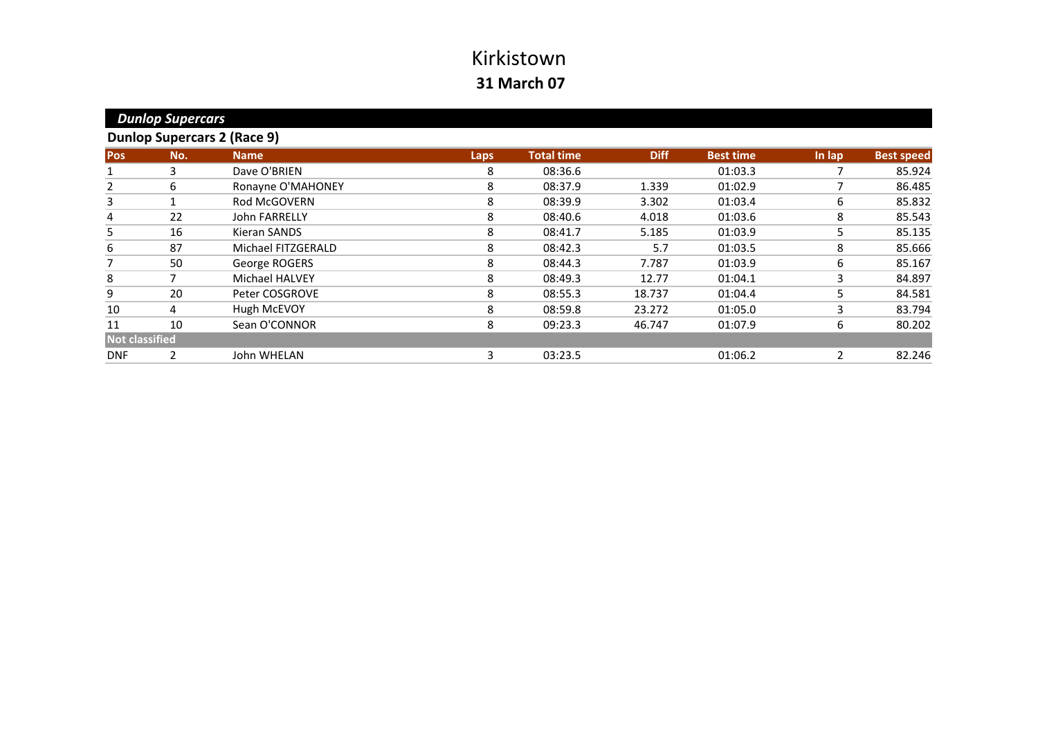|                       | <b>Dunlop Supercars</b> |                                    |      |                   |             |                  |        |                   |
|-----------------------|-------------------------|------------------------------------|------|-------------------|-------------|------------------|--------|-------------------|
|                       |                         | <b>Dunlop Supercars 2 (Race 9)</b> |      |                   |             |                  |        |                   |
| Pos                   | No.                     | <b>Name</b>                        | Laps | <b>Total time</b> | <b>Diff</b> | <b>Best time</b> | In lap | <b>Best speed</b> |
| 1                     | 3                       | Dave O'BRIEN                       | 8    | 08:36.6           |             | 01:03.3          |        | 85.924            |
| $\overline{2}$        | 6                       | Ronayne O'MAHONEY                  | 8    | 08:37.9           | 1.339       | 01:02.9          | 7      | 86.485            |
| 3                     |                         | <b>Rod McGOVERN</b>                | 8    | 08:39.9           | 3.302       | 01:03.4          | 6      | 85.832            |
| 4                     | 22                      | <b>John FARRELLY</b>               | 8    | 08:40.6           | 4.018       | 01:03.6          | 8      | 85.543            |
| 5                     | 16                      | Kieran SANDS                       | 8    | 08:41.7           | 5.185       | 01:03.9          | 5      | 85.135            |
| 6                     | 87                      | Michael FITZGERALD                 | 8    | 08:42.3           | 5.7         | 01:03.5          | 8      | 85.666            |
| 7                     | 50                      | George ROGERS                      | 8    | 08:44.3           | 7.787       | 01:03.9          | 6      | 85.167            |
| 8                     |                         | <b>Michael HALVEY</b>              | 8    | 08:49.3           | 12.77       | 01:04.1          | 3      | 84.897            |
| 9                     | 20                      | Peter COSGROVE                     | 8    | 08:55.3           | 18.737      | 01:04.4          | 5      | 84.581            |
| 10                    | 4                       | Hugh McEVOY                        | 8    | 08:59.8           | 23.272      | 01:05.0          | 3      | 83.794            |
| 11                    | 10                      | Sean O'CONNOR                      | 8    | 09:23.3           | 46.747      | 01:07.9          | 6      | 80.202            |
| <b>Not classified</b> |                         |                                    |      |                   |             |                  |        |                   |
| <b>DNF</b>            |                         | John WHELAN                        | 3    | 03:23.5           |             | 01:06.2          | 2      | 82.246            |